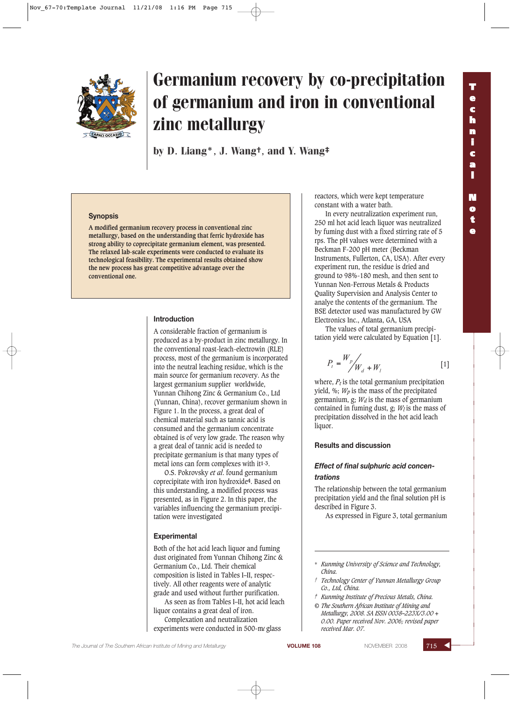

# Germanium recovery by co-precipitation of germanium and iron in conventional zinc metallurgy

by D. Liang\*, J. Wang†, and Y. Wang‡

#### **Synopsis**

**A modified germanium recovery process in conventional zinc metallurgy, based on the understanding that ferric hydroxide has strong ability to coprecipitate germanium element, was presented. The relaxed lab-scale experiments were conducted to evaluate its technological feasibility. The experimental results obtained show the new process has great competitive advantage over the conventional one.**

#### **Introduction**

A considerable fraction of germanium is produced as a by-product in zinc metallurgy. In the conventional roast-leach-electrowin (RLE) process, most of the germanium is incorporated into the neutral leaching residue, which is the main source for germanium recovery. As the largest germanium supplier worldwide, Yunnan Chihong Zinc & Germanium Co., Ltd (Yunnan, China), recover germanium shown in Figure 1. In the process, a great deal of chemical material such as tannic acid is consumed and the germanium concentrate obtained is of very low grade. The reason why a great deal of tannic acid is needed to precipitate germanium is that many types of metal ions can form complexes with it**1-3**.

O.S. Pokrovsky *et al*. found germanium coprecipitate with iron hydroxide**4**. Based on this understanding, a modified process was presented, as in Figure 2. In this paper, the variables influencing the germanium precipitation were investigated

#### **Experimental**

Both of the hot acid leach liquor and fuming dust originated from Yunnan Chihong Zinc & Germanium Co., Ltd. Their chemical composition is listed in Tables I–II, respectively. All other reagents were of analytic grade and used without further purification.

As seen as from Tables I–II, hot acid leach liquor contains a great deal of iron.

Complexation and neutralization experiments were conducted in 500-m*l* glass reactors, which were kept temperature constant with a water bath.

**T e c h n i c a l**

**N o t e**

In every neutralization experiment run, 250 ml hot acid leach liquor was neutralized by fuming dust with a fixed stirring rate of 5 rps. The pH values were determined with a Beckman F-200 pH meter (Beckman Instruments, Fullerton, CA, USA). After every experiment run, the residue is dried and ground to 98%-180 mesh, and then sent to Yunnan Non-Ferrous Metals & Products Quality Supervision and Analysis Center to analye the contents of the germanium. The BSE detector used was manufactured by GW Electronics Inc., Atlanta, GA, USA

The values of total germanium precipitation yield were calculated by Equation [1].

$$
P_t = \frac{W_p}{W_d + W_t} \tag{1}
$$

where,  $P_t$  is the total germanium precipitation yield,  $\%$ ;  $W_p$  is the mass of the precipitated germanium,  $g$ ;  $W_d$  is the mass of germanium contained in fuming dust,  $g$ ;  $W_l$  is the mass of precipitation dissolved in the hot acid leach liquor.

#### **Results and discussion**

#### *Effect of final sulphuric acid concentrations*

The relationship between the total germanium precipitation yield and the final solution pH is described in Figure 3.

As expressed in Figure 3, total germanium

*© The Southern African Institute of Mining and Metallurgy, 2008. SA ISSN 0038–223X/3.00 + 0.00. Paper received Nov. 2006; revised paper received Mar. 07.*

<sup>\*</sup> *Kunming University of Science and Technology, China.*

*<sup>†</sup> Technology Center of Yunnan Metallurgy Group Co., Ltd, China.*

*<sup>‡</sup> Kunming Institute of Precious Metals, China.*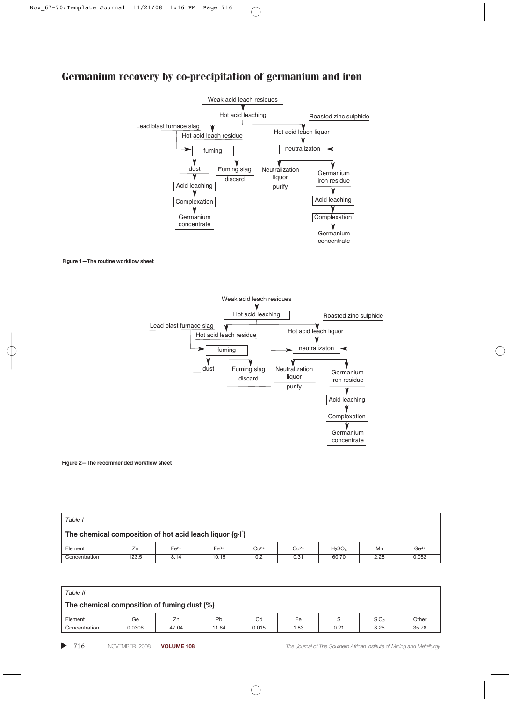## Germanium recovery by co-precipitation of germanium and iron



**Figure 1—The routine workflow sheet**



**Figure 2—The recommended workflow sheet**

| Table I                                                  |       |        |        |        |        |           |      |        |
|----------------------------------------------------------|-------|--------|--------|--------|--------|-----------|------|--------|
| The chemical composition of hot acid leach liquor (g.l.) |       |        |        |        |        |           |      |        |
| Element                                                  | Zn    | $Fe2+$ | $Fe3+$ | $Cu2+$ | $Cd2+$ | $H_2SO_4$ | Mn   | $Ge4+$ |
| Concentration                                            | 123.5 | 8.14   | 10.15  | 0.2    | 0.31   | 60.70     | 2.28 | 0.052  |

| Table II                                    |        |       |       |       |      |      |                  |       |
|---------------------------------------------|--------|-------|-------|-------|------|------|------------------|-------|
| The chemical composition of fuming dust (%) |        |       |       |       |      |      |                  |       |
| Element                                     | Ge     | Zn    | Pb    | Cd    | Fe   |      | SiO <sub>2</sub> | Other |
| Concentration                               | 0.0306 | 47.04 | 11.84 | 0.015 | 1.83 | 0.21 | 3.25             | 35.78 |

▲

716 NOVEMBER 2008 **VOLUME 108** *The Journal of The Southern African Institute of Mining and Metallurgy*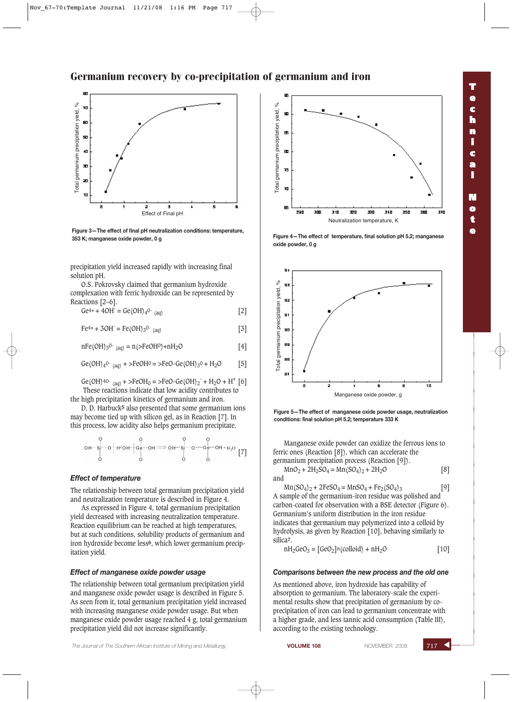## **T e c h n i c a l N o t e**





**Figure 3—The effect of final pH neutralization conditions: temperature, 353 K; manganese oxide powder, 0 g Figure 4—The effect of temperature, final solution pH 5.2; manganese**

precipitation yield increased rapidly with increasing final solution pH.

O.S. Pokrovsky claimed that germanium hydroxide complexation with ferric hydroxide can be represented by Reactions [2–6].

 $Ge^{4+} + 4OH^- = Ge(OH)_4^{0-}$  (aq) [2]

 $Fe^{4+} + 3OH^- = Fe(OH)_{3}^{0-}$  (aq) [3]

 $nFe(OH)_{3}^{O-}$  (aq) =  $n(>FeOH^{O})+nH_{2}O$  [4]

$$
Ge(OH)_{4}^{0}{}_{(aq)} + > FeOH^{0} = > FeO-Ge(OH)_{3}^{0} + H_{2}^{0}O
$$
 [5]

Ge(OH)<sup>40-</sup> (aq) + >FeOH<sub>0</sub> = >FeO-Ge(OH)<sub>2</sub><sup>-</sup> + H<sub>2</sub>O + H<sup>+</sup> [6] These reactions indicate that low acidity contributes to the high precipitation kinetics of germanium and iron.

D. D. Harbuck**5** also presented that some germanium ions may become tied up with silicon gel, as in Reaction [7]. In this process, low acidity also helps germanium precipitate.

$$
\begin{array}{c}\n0 \\
0 \\
\end{array} + \begin{array}{c}\n0 \\
\end{array} + \begin{array}{c}\n0 \\
\end{array} + \begin{array}{c}\n0 \\
\end{array} + \begin{array}{c}\n0 \\
\end{array} + \begin{array}{c}\n0 \\
\end{array} + \begin{array}{c}\n0 \\
\end{array} + \begin{array}{c}\n0 \\
\end{array} + \begin{array}{c}\n0 \\
\end{array} + \begin{array}{c}\n0 \\
\end{array} + \begin{array}{c}\n0 \\
\end{array} + \begin{array}{c}\n0 \\
\end{array} + \begin{array}{c}\n0 \\
\end{array} + \begin{array}{c}\n0 \\
\end{array} + \begin{array}{c}\n0 \\
\end{array} + \begin{array}{c}\n0 \\
\end{array} + \begin{array}{c}\n0 \\
\end{array} + \begin{array}{c}\n0 \\
\end{array} + \begin{array}{c}\n0 \\
\end{array} + \begin{array}{c}\n0 \\
\end{array} + \begin{array}{c}\n0 \\
\end{array} + \begin{array}{c}\n0 \\
\end{array} + \begin{array}{c}\n0 \\
\end{array} + \begin{array}{c}\n0 \\
\end{array} + \begin{array}{c}\n0 \\
\end{array} + \begin{array}{c}\n0 \\
\end{array} + \begin{array}{c}\n0 \\
\end{array} + \begin{array}{c}\n0 \\
\end{array} + \begin{array}{c}\n0 \\
\end{array} + \begin{array}{c}\n0 \\
\end{array} + \begin{array}{c}\n0 \\
\end{array} + \begin{array}{c}\n0 \\
\end{array} + \begin{array}{c}\n0 \\
\end{array} + \begin{array}{c}\n0 \\
\end{array} + \begin{array}{c}\n0 \\
\end{array} + \begin{array}{c}\n0 \\
\end{array} + \begin{array}{c}\n0 \\
\end{array} + \begin{array}{c}\n0 \\
\end{array} + \begin{array}{c}\n0 \\
\end{array} + \begin{array}{c}\n0 \\
\end{array} + \begin{array}{c}\n0 \\
\end{array} + \begin{array}{c}\n0 \\
\end{array} + \begin{array}{c}\n0 \\
\end{array} + \begin{array}{c}\n0 \\
\end{array} + \begin{array}{c}\n0 \\
\end{array} + \begin{array}{c}\n0 \\
\end{array} + \begin{array}{c}\n0 \\
\end{array} + \begin{array}{c
$$

#### *Effect of temperature*

The relationship between total germanium precipitation yield and neutralization temperature is described in Figure 4.

As expressed in Figure 4, total germanium precipitation yield decreased with increasing neutralization temperature. Reaction equilibrium can be reached at high temperatures, but at such conditions, solubility products of germanium and iron hydroxide become less**6**, which lower germanium precipitation yield.

#### *Effect of manganese oxide powder usage*

The relationship between total germanium precipitation yield and manganese oxide powder usage is described in Figure 5. As seen from it, total germanium precipitation yield increased with increasing manganese oxide powder usage. But when manganese oxide powder usage reached 4 g, total germanium precipitation yield did not increase significantly.



**oxide powder, 0 g**



**Figure 5—The effect of manganese oxide powder usage, neutralization conditions: final solution pH 5.2; temperature 333 K**

Manganese oxide powder can oxidize the ferrous ions to ferric ones (Reaction [8]), which can accelerate the germanium precipitation process (Reaction [9]).  $MnO_2 + 2H_2SO_4 = Mn(SO_4)_2 + 2H_2O$  [8]

and 
$$
\sum_{i=1}^{n} a_i
$$

 $Mn(SO_4)_2 + 2FeSO_4 = MnSO_4 + Fe_2(SO_4)_3$  [9] A sample of the germanium-iron residue was polished and carbon-coated for observation with a BSE detector (Figure 6). Germanium's uniform distribution in the iron residue indicates that germanium may polymerized into a colloid by hydrolysis, as given by Reaction [10], behaving similarly to silica**7**.

$$
nH_2GeO_3 = [GeO_2]n(colloid) + nH_2O \qquad [10]
$$

#### *Comparisons between the new process and the old one*

As mentioned above, iron hydroxide has capability of absorption to germanium. The laboratory-scale the experimental results show that precipitation of germanium by coprecipitation of iron can lead to germanium concentrate with a higher grade, and less tannic acid consumption (Table III), according to the existing technology.